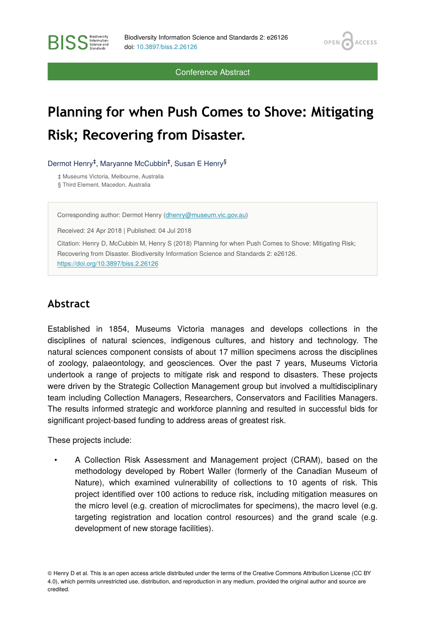OPEN<sub>6</sub>

**ACCESS** 

Conference Abstract

## **Planning for when Push Comes to Shove: Mitigating Risk; Recovering from Disaster.**

Dermot Henry<sup>‡</sup>, Maryanne McCubbin<sup>‡</sup>, Susan E Henry<sup>§</sup>

‡ Museums Victoria, Melbourne, Australia

§ Third Element, Macedon, Australia

**BISS** Steince and

Corresponding author: Dermot Henry [\(dhenry@museum.vic.gov.au](mailto:dhenry@museum.vic.gov.au))

Received: 24 Apr 2018 | Published: 04 Jul 2018

Citation: Henry D, McCubbin M, Henry S (2018) Planning for when Push Comes to Shove: Mitigating Risk; Recovering from Disaster. Biodiversity Information Science and Standards 2: e26126.

<https://doi.org/10.3897/biss.2.26126>

## **Abstract**

Established in 1854, Museums Victoria manages and develops collections in the disciplines of natural sciences, indigenous cultures, and history and technology. The natural sciences component consists of about 17 million specimens across the disciplines of zoology, palaeontology, and geosciences. Over the past 7 years, Museums Victoria undertook a range of projects to mitigate risk and respond to disasters. These projects were driven by the Strategic Collection Management group but involved a multidisciplinary team including Collection Managers, Researchers, Conservators and Facilities Managers. The results informed strategic and workforce planning and resulted in successful bids for significant project-based funding to address areas of greatest risk.

These projects include:

• A Collection Risk Assessment and Management project (CRAM), based on the methodology developed by Robert Waller (formerly of the Canadian Museum of Nature), which examined vulnerability of collections to 10 agents of risk. This project identified over 100 actions to reduce risk, including mitigation measures on the micro level (e.g. creation of microclimates for specimens), the macro level (e.g. targeting registration and location control resources) and the grand scale (e.g. development of new storage facilities).

© Henry D et al. This is an open access article distributed under the terms of the Creative Commons Attribution License (CC BY 4.0), which permits unrestricted use, distribution, and reproduction in any medium, provided the original author and source are credited.